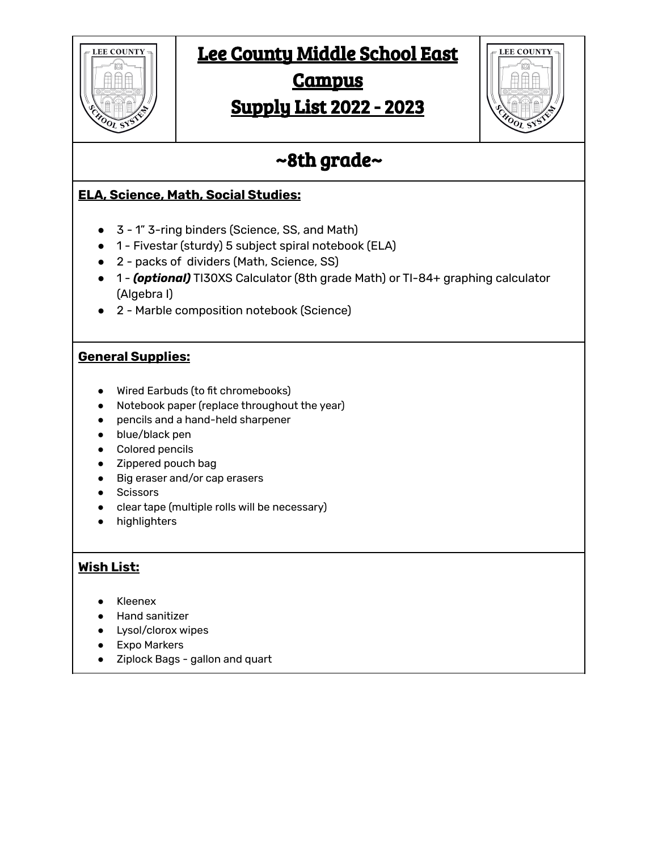

## Lee County Middle School East

### **Campus**

## Supply List 2022 - 2023



# ~8th grade~

### **ELA, Science, Math, Social Studies:**

- 3 1" 3-ring binders (Science, SS, and Math)
- 1 Fivestar (sturdy) 5 subject spiral notebook (ELA)
- 2 packs of dividers (Math, Science, SS)
- 1 *(optional)* TI30XS Calculator (8th grade Math) or TI-84+ graphing calculator (Algebra I)
- 2 Marble composition notebook (Science)

### **General Supplies:**

- Wired Earbuds (to fit chromebooks)
- Notebook paper (replace throughout the year)
- pencils and a hand-held sharpener
- blue/black pen
- Colored pencils
- Zippered pouch bag
- Big eraser and/or cap erasers
- Scissors
- clear tape (multiple rolls will be necessary)
- highlighters

### **Wish List:**

- Kleenex
- Hand sanitizer
- Lysol/clorox wipes
- Expo Markers
- Ziplock Bags gallon and quart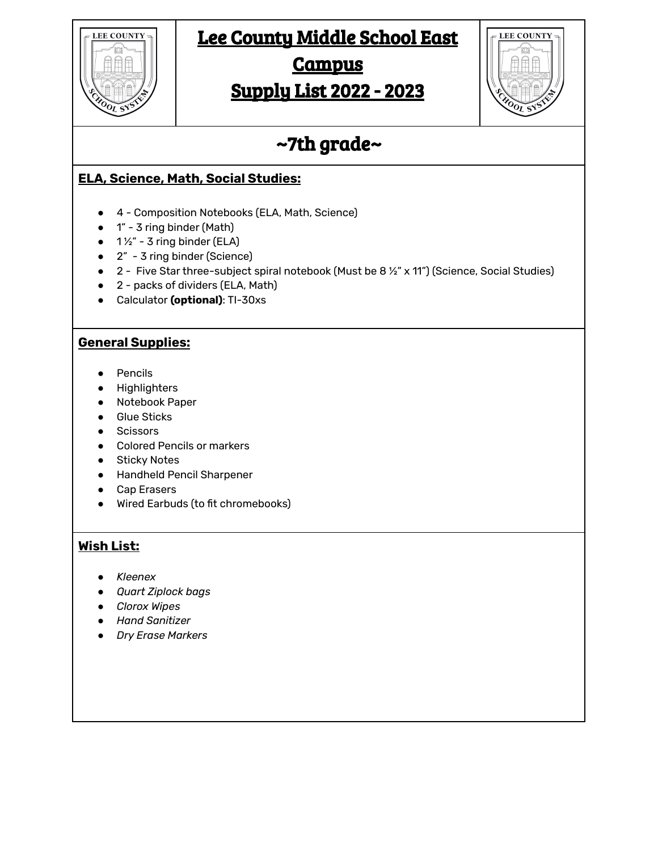### Lee County Middle School East



### **Campus**

Supply List 2022 - 2023



## ~7th grade~

#### **ELA, Science, Math, Social Studies:**

- 4 Composition Notebooks (ELA, Math, Science)
- 1" 3 ring binder (Math)
- $\bullet$  1½" 3 ring binder (ELA)
- 2″ 3 ring binder (Science)
- 2 Five Star three-subject spiral notebook (Must be 8 ½" x 11") (Science, Social Studies)
- 2 packs of dividers (ELA, Math)
- Calculator **(optional)**: TI-30xs

#### **General Supplies:**

- Pencils
- Highlighters
- Notebook Paper
- Glue Sticks
- Scissors
- Colored Pencils or markers
- Sticky Notes
- Handheld Pencil Sharpener
- Cap Erasers
- Wired Earbuds (to fit chromebooks)

#### **Wish List:**

- *● Kleenex*
- *Quart Ziplock bags*
- *● Clorox Wipes*
- *● Hand Sanitizer*
- *● Dry Erase Markers*